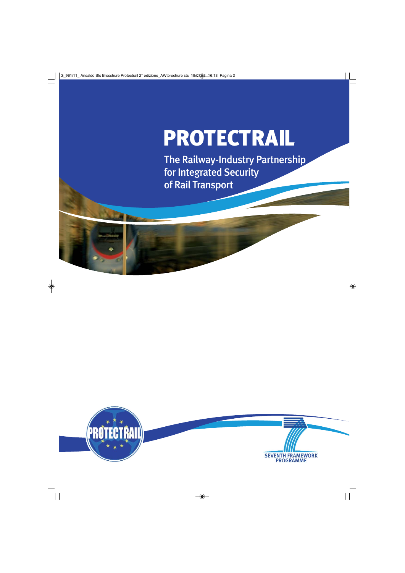# PROTECTRAIL

The Railway-Industry Partnership for Integrated Security of Rail Transport

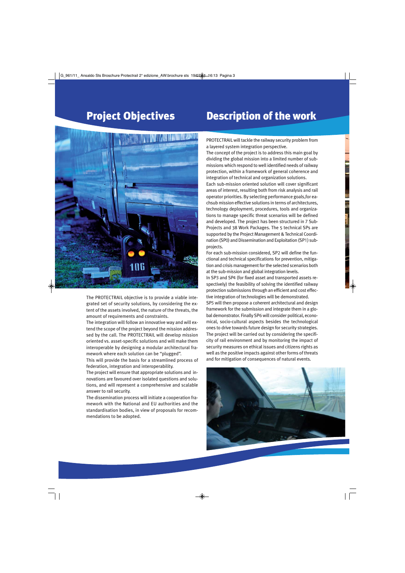# Project Objectives

# Description of the work



The PROTECTRAIL objective is to provide a viable integrated set of security solutions, by considering the extent of the assets involved, the nature of the threats, the amount of requirements and constraints.

The integration will follow an innovative way and will extend the scope of the project beyond the mission addressed by the call. The PROTECTRAIL will develop mission oriented vs. asset-specific solutions and will make them interoperable by designing a modular architectural framework where each solution can be "plugged".

This will provide the basis for a streamlined process of federation, integration and interoperability.

The project will ensure that appropriate solutions and innovations are favoured over isolated questions and solutions, and will represent a comprehensive and scalable answer to rail security.

The dissemination process will initiate a cooperation framework with the National and EU authorities and the standardisation bodies, in view of proposals for recommendations to be adopted.

PROTECTRAIL will tackle the railway security problem from a layered system integration perspective.

The concept of the project is to address this main goal by dividing the global mission into a limited number of submissions which respond to well identified needs of railway protection, within a framework of general coherence and integration of technical and organization solutions.

Each sub-mission oriented solution will cover significant areas of interest, resulting both from risk analysis and rail operator priorities. By selecting performance goals,for eachsub mission effective solutions in terms of architectures, technology deployment, procedures, tools and organizations to manage specific threat scenarios will be defined and developed. The project has been structured in 7 Sub-Projects and 38 Work Packages. The 5 technical SPs are supported by the Project Management & Technical Coordination (SP0) and Dissemination and Exploitation (SP1) subprojects.

For each sub-mission considered, SP2 will define the functional and technical specifications for prevention, mitigation and crisis management for the selected scenarios both at the sub-mission and global integration levels.

In SP3 and SP4 (for fixed asset and transported assets respectively) the feasibility of solving the identified railway protection submissions through an efficient and cost effective integration of technologies will be demonstrated.

SP5 will then propose a coherent architectural and design framework for the submission and integrate them in a global demonstrator. Finally SP6 will consider political, economical, socio-cultural aspects besides the technological ones to drive towards future design for security strategies. The project will be carried out by considering the specificity of rail environment and by monitoring the impact of security measures on ethical issues and citizens rights as well as the positive impacts against other forms of threats and for mitigation of consequences of natural events.

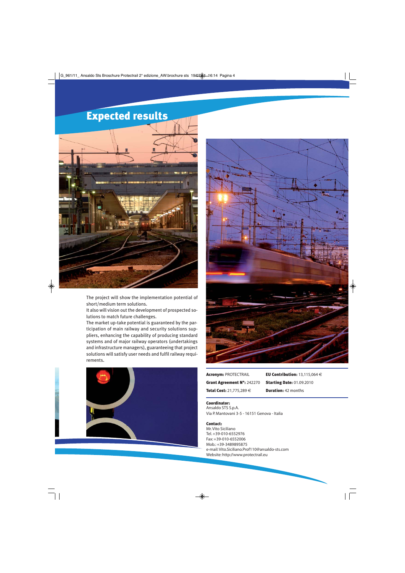# Expected results



The project will show the implementation potential of short/medium term solutions.

It also will vision out the development of prospected solutions to match future challenges.

The market up-take potential is guaranteed by the participation of main railway and security solutions suppliers, enhancing the capability of producing standard systems and of major railway operators (undertakings and infrastructure managers), guaranteeing that project solutions will satisfy user needs and fulfil railway requirements.





Acronym: PROTECTRAIL Grant Agreement N°: 242270

Total Cost: 21,775,289 €

EU Contribution: 13,115,064 € Starting Date: 01.09.2010 **Duration: 42 months** 

### Coordinator:

Ansaldo STS S.p.A. Via P. Mantovani 3-5 - 16151 Genova - Italia

#### Contact:

Mr. Vito Siciliano Tel. +39-010-6552976 Fax: +39-010-6552006 Mob.: +39-3489895875 e-mail: Vito.Siciliano.Prof110@ansaldo-sts.com Website: http://www.protectrail.eu